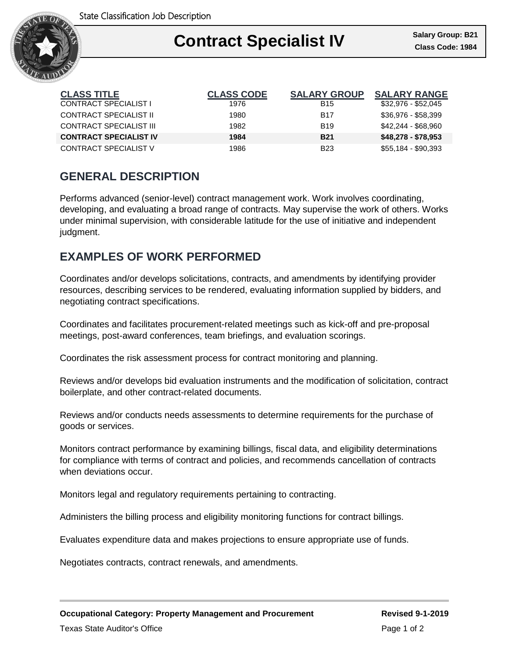

## Ι **Contract Specialist IV Class Code: 1984**

| <b>CLASS TITLE</b>            | <b>CLASS CODE</b> | <b>SALARY GROUP</b> | <b>SALARY RANGE</b> |
|-------------------------------|-------------------|---------------------|---------------------|
| CONTRACT SPECIALIST I         | 1976              | <b>B15</b>          | \$32,976 - \$52,045 |
| CONTRACT SPECIALIST II        | 1980              | <b>B17</b>          | \$36,976 - \$58,399 |
| CONTRACT SPECIALIST III       | 1982              | <b>B19</b>          | \$42,244 - \$68,960 |
| <b>CONTRACT SPECIALIST IV</b> | 1984              | <b>B21</b>          | \$48,278 - \$78,953 |
| CONTRACT SPECIALIST V         | 1986              | <b>B23</b>          | $$55,184 - $90,393$ |

# **GENERAL DESCRIPTION**

Performs advanced (senior-level) contract management work. Work involves coordinating, developing, and evaluating a broad range of contracts. May supervise the work of others. Works under minimal supervision, with considerable latitude for the use of initiative and independent judgment.

## **EXAMPLES OF WORK PERFORMED**

Coordinates and/or develops solicitations, contracts, and amendments by identifying provider resources, describing services to be rendered, evaluating information supplied by bidders, and negotiating contract specifications.

Coordinates and facilitates procurement-related meetings such as kick-off and pre-proposal meetings, post-award conferences, team briefings, and evaluation scorings.

Coordinates the risk assessment process for contract monitoring and planning.

Reviews and/or develops bid evaluation instruments and the modification of solicitation, contract boilerplate, and other contract-related documents.

Reviews and/or conducts needs assessments to determine requirements for the purchase of goods or services.

Monitors contract performance by examining billings, fiscal data, and eligibility determinations for compliance with terms of contract and policies, and recommends cancellation of contracts when deviations occur.

Monitors legal and regulatory requirements pertaining to contracting.

Administers the billing process and eligibility monitoring functions for contract billings.

Evaluates expenditure data and makes projections to ensure appropriate use of funds.

Negotiates contracts, contract renewals, and amendments.